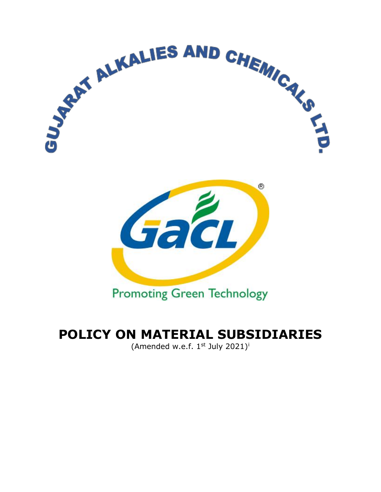

# **POLICY ON MATERIAL SUBSIDIARIES**

(Amended w.e.f.  $1<sup>st</sup>$  July 2021)<sup>[i](#page-3-0)</sup>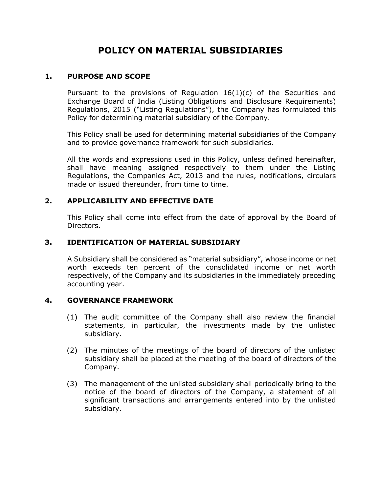# **POLICY ON MATERIAL SUBSIDIARIES**

#### **1. PURPOSE AND SCOPE**

Pursuant to the provisions of Regulation 16(1)(c) of the Securities and Exchange Board of India (Listing Obligations and Disclosure Requirements) Regulations, 2015 ("Listing Regulations"), the Company has formulated this Policy for determining material subsidiary of the Company.

This Policy shall be used for determining material subsidiaries of the Company and to provide governance framework for such subsidiaries.

All the words and expressions used in this Policy, unless defined hereinafter, shall have meaning assigned respectively to them under the Listing Regulations, the Companies Act, 2013 and the rules, notifications, circulars made or issued thereunder, from time to time.

## **2. APPLICABILITY AND EFFECTIVE DATE**

This Policy shall come into effect from the date of approval by the Board of Directors.

#### **3. IDENTIFICATION OF MATERIAL SUBSIDIARY**

A Subsidiary shall be considered as "material subsidiary", whose income or net worth exceeds ten percent of the consolidated income or net worth respectively, of the Company and its subsidiaries in the immediately preceding accounting year.

#### **4. GOVERNANCE FRAMEWORK**

- (1) The audit committee of the Company shall also review the financial statements, in particular, the investments made by the unlisted subsidiary.
- (2) The minutes of the meetings of the board of directors of the unlisted subsidiary shall be placed at the meeting of the board of directors of the Company.
- (3) The management of the unlisted subsidiary shall periodically bring to the notice of the board of directors of the Company, a statement of all significant transactions and arrangements entered into by the unlisted subsidiary.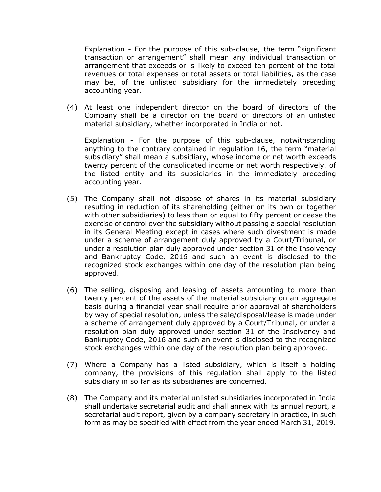Explanation - For the purpose of this sub-clause, the term "significant transaction or arrangement" shall mean any individual transaction or arrangement that exceeds or is likely to exceed ten percent of the total revenues or total expenses or total assets or total liabilities, as the case may be, of the unlisted subsidiary for the immediately preceding accounting year.

(4) At least one independent director on the board of directors of the Company shall be a director on the board of directors of an unlisted material subsidiary, whether incorporated in India or not.

Explanation - For the purpose of this sub-clause, notwithstanding anything to the contrary contained in regulation 16, the term "material subsidiary" shall mean a subsidiary, whose income or net worth exceeds twenty percent of the consolidated income or net worth respectively, of the listed entity and its subsidiaries in the immediately preceding accounting year.

- (5) The Company shall not dispose of shares in its material subsidiary resulting in reduction of its shareholding (either on its own or together with other subsidiaries) to less than or equal to fifty percent or cease the exercise of control over the subsidiary without passing a special resolution in its General Meeting except in cases where such divestment is made under a scheme of arrangement duly approved by a Court/Tribunal, or under a resolution plan duly approved under section 31 of the Insolvency and Bankruptcy Code, 2016 and such an event is disclosed to the recognized stock exchanges within one day of the resolution plan being approved.
- (6) The selling, disposing and leasing of assets amounting to more than twenty percent of the assets of the material subsidiary on an aggregate basis during a financial year shall require prior approval of shareholders by way of special resolution, unless the sale/disposal/lease is made under a scheme of arrangement duly approved by a Court/Tribunal, or under a resolution plan duly approved under section 31 of the Insolvency and Bankruptcy Code, 2016 and such an event is disclosed to the recognized stock exchanges within one day of the resolution plan being approved.
- (7) Where a Company has a listed subsidiary, which is itself a holding company, the provisions of this regulation shall apply to the listed subsidiary in so far as its subsidiaries are concerned.
- (8) The Company and its material unlisted subsidiaries incorporated in India shall undertake secretarial audit and shall annex with its annual report, a secretarial audit report, given by a company secretary in practice, in such form as may be specified with effect from the year ended March 31, 2019.